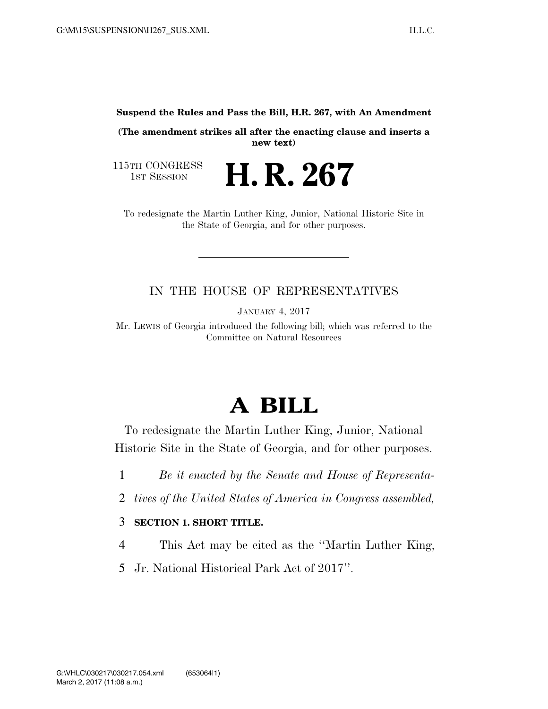**Suspend the Rules and Pass the Bill, H.R. 267, with An Amendment** 

**(The amendment strikes all after the enacting clause and inserts a new text)** 

115TH CONGRESS<br>1st Session

H. R. 267

To redesignate the Martin Luther King, Junior, National Historic Site in the State of Georgia, and for other purposes.

### IN THE HOUSE OF REPRESENTATIVES

JANUARY 4, 2017

Mr. LEWIS of Georgia introduced the following bill; which was referred to the Committee on Natural Resources

# **A BILL**

To redesignate the Martin Luther King, Junior, National Historic Site in the State of Georgia, and for other purposes.

- 1 *Be it enacted by the Senate and House of Representa-*
- 2 *tives of the United States of America in Congress assembled,*

#### 3 **SECTION 1. SHORT TITLE.**

- 4 This Act may be cited as the ''Martin Luther King,
- 5 Jr. National Historical Park Act of 2017''.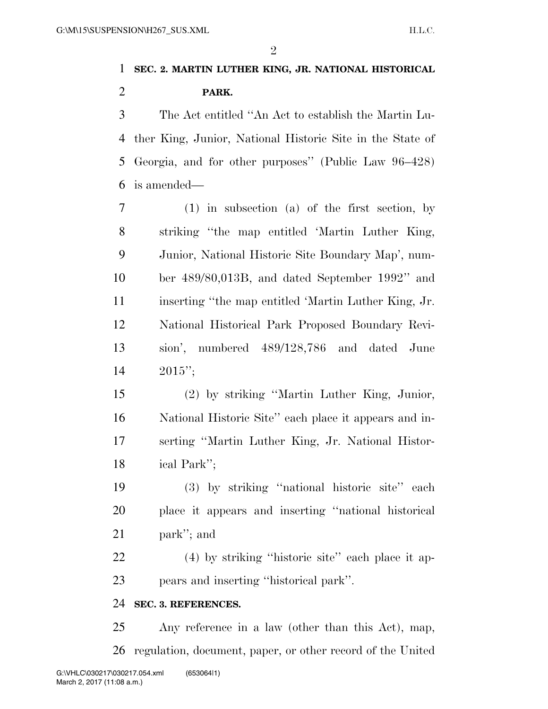$\mathfrak{D}$ 

## **SEC. 2. MARTIN LUTHER KING, JR. NATIONAL HISTORICAL PARK.**

 The Act entitled ''An Act to establish the Martin Lu- ther King, Junior, National Historic Site in the State of Georgia, and for other purposes'' (Public Law 96–428) is amended—

 (1) in subsection (a) of the first section, by striking ''the map entitled 'Martin Luther King, Junior, National Historic Site Boundary Map', num- ber 489/80,013B, and dated September 1992'' and inserting ''the map entitled 'Martin Luther King, Jr. National Historical Park Proposed Boundary Revi- sion', numbered 489/128,786 and dated June 2015'';

 (2) by striking ''Martin Luther King, Junior, National Historic Site'' each place it appears and in- serting ''Martin Luther King, Jr. National Histor-ical Park'';

 (3) by striking ''national historic site'' each place it appears and inserting ''national historical park''; and

 (4) by striking ''historic site'' each place it ap-pears and inserting ''historical park''.

#### **SEC. 3. REFERENCES.**

 Any reference in a law (other than this Act), map, regulation, document, paper, or other record of the United